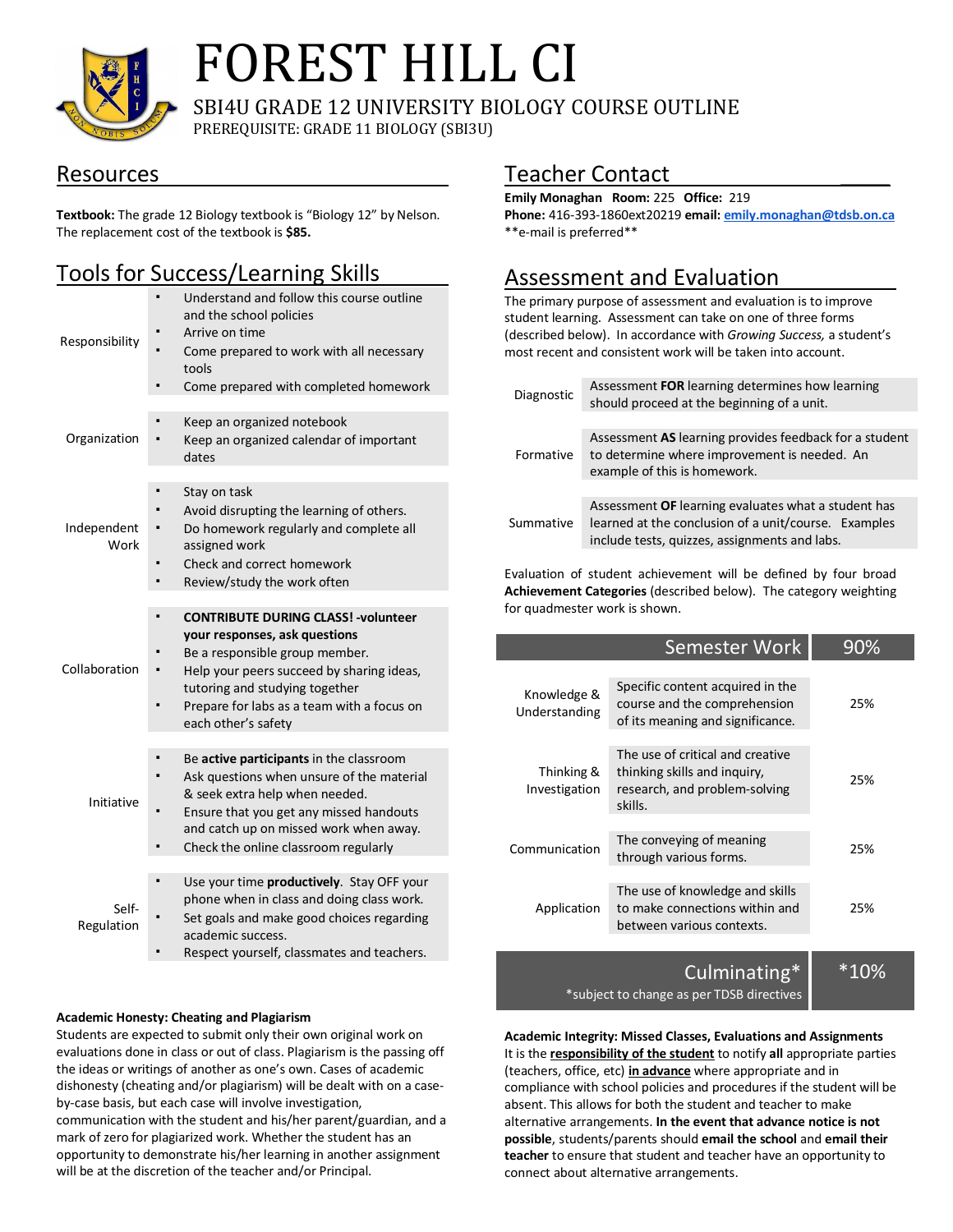

# FOREST HILL CI

SBI4U GRADE 12 UNIVERSITY BIOLOGY COURSE OUTLINE PREREQUISITE: GRADE 11 BIOLOGY (SBI3U)

### Resources

**Textbook:** The grade 12 Biology textbook is "Biology 12" by Nelson. The replacement cost of the textbook is **\$85.**

## Tools for Success/Learning Skills

| Responsibility      | Understand and follow this course outline<br>and the school policies<br>Arrive on time<br>Come prepared to work with all necessary<br>tools<br>Come prepared with completed homework                                                                               |
|---------------------|--------------------------------------------------------------------------------------------------------------------------------------------------------------------------------------------------------------------------------------------------------------------|
| Organization        | $\blacksquare$<br>Keep an organized notebook<br>Keep an organized calendar of important<br>dates                                                                                                                                                                   |
| Independent<br>Work | Stay on task<br>$\blacksquare$<br>Avoid disrupting the learning of others.<br>Do homework regularly and complete all<br>assigned work<br>Check and correct homework<br>Review/study the work often                                                                 |
| Collaboration       | <b>CONTRIBUTE DURING CLASS! - volunteer</b><br>your responses, ask questions<br>Be a responsible group member.<br>Help your peers succeed by sharing ideas,<br>tutoring and studying together<br>Prepare for labs as a team with a focus on<br>each other's safety |
| Initiative          | Be active participants in the classroom<br>Ask questions when unsure of the material<br>& seek extra help when needed.<br>Ensure that you get any missed handouts<br>and catch up on missed work when away.<br>Check the online classroom regularly                |
| Self-<br>Regulation | Use your time productively. Stay OFF your<br>$\blacksquare$<br>phone when in class and doing class work.<br>Set goals and make good choices regarding<br>academic success.<br>Respect yourself, classmates and teachers.                                           |

#### **Academic Honesty: Cheating and Plagiarism**

Students are expected to submit only their own original work on evaluations done in class or out of class. Plagiarism is the passing off the ideas or writings of another as one's own. Cases of academic dishonesty (cheating and/or plagiarism) will be dealt with on a caseby-case basis, but each case will involve investigation, communication with the student and his/her parent/guardian, and a mark of zero for plagiarized work. Whether the student has an opportunity to demonstrate his/her learning in another assignment will be at the discretion of the teacher and/or Principal.

## Teacher Contact \_\_\_\_

**Emily Monaghan Room:** 225 **Office:** 219 **Phone:** 416-393-1860ext20219 **email: emily.monaghan@tdsb.on.ca** \*\*e-mail is preferred\*\*

## Assessment and Evaluation

The primary purpose of assessment and evaluation is to improve student learning. Assessment can take on one of three forms (described below). In accordance with *Growing Success,* a student's most recent and consistent work will be taken into account.

| Diagnostic | Assessment FOR learning determines how learning<br>should proceed at the beginning of a unit.                                                                |  |  |  |
|------------|--------------------------------------------------------------------------------------------------------------------------------------------------------------|--|--|--|
| Formative  | Assessment AS learning provides feedback for a student<br>to determine where improvement is needed. An<br>example of this is homework.                       |  |  |  |
|            |                                                                                                                                                              |  |  |  |
| Summative  | Assessment OF learning evaluates what a student has<br>learned at the conclusion of a unit/course. Examples<br>include tests, quizzes, assignments and labs. |  |  |  |

Evaluation of student achievement will be defined by four broad **Achievement Categories** (described below). The category weighting for quadmester work is shown.

|                              | Semester Work                                                                                                | 90% |
|------------------------------|--------------------------------------------------------------------------------------------------------------|-----|
| Knowledge &<br>Understanding | Specific content acquired in the<br>course and the comprehension<br>of its meaning and significance.         | 25% |
| Thinking &<br>Investigation  | The use of critical and creative<br>thinking skills and inquiry,<br>research, and problem-solving<br>skills. | 25% |
| Communication                | The conveying of meaning<br>through various forms.                                                           | 25% |
| Application                  | The use of knowledge and skills<br>to make connections within and<br>between various contexts.               | 25% |
|                              | Culminating*                                                                                                 |     |

\*subject to change as per TDSB directives

**Academic Integrity: Missed Classes, Evaluations and Assignments** It is the **responsibility of the student** to notify **all** appropriate parties (teachers, office, etc) **in advance** where appropriate and in compliance with school policies and procedures if the student will be absent. This allows for both the student and teacher to make alternative arrangements. **In the event that advance notice is not possible**, students/parents should **email the school** and **email their teacher** to ensure that student and teacher have an opportunity to connect about alternative arrangements.